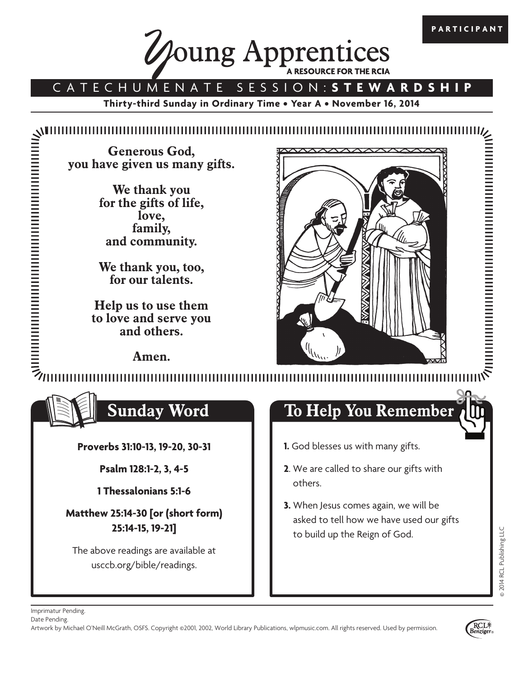

## CATECHUMENATE SESSION: **STEWARDSHIP**

**Thirty-third Sunday in Ordinary Time • Year A • November 16, 2014**

**Generous God, you have given us many gifts.**

> **We thank you for the gifts of life, love, family, and community.**

> **We thank you, too, for our talents.**

**Help us to use them to love and serve you and others.**

**Amen.**



winning and the second second second second second second second second second second second second second second second second second second second second second second second second second second second second second sec 



**Proverbs 31:10-13, 19-20, 30-31**

**Psalm 128:1-2, 3, 4-5**

**1 Thessalonians 5:1-6**

**Matthew 25:14-30 [or (short form) 25:14-15, 19-21]**

The above readings are available at usccb.org/bible/readings.

# **Sunday Word To Help You Remember**

- **1.** God blesses us with many gifts.
- **2**. We are called to share our gifts with others.
- **3.** When Jesus comes again, we will be asked to tell how we have used our gifts to build up the Reign of God.



**PARTICIPANT**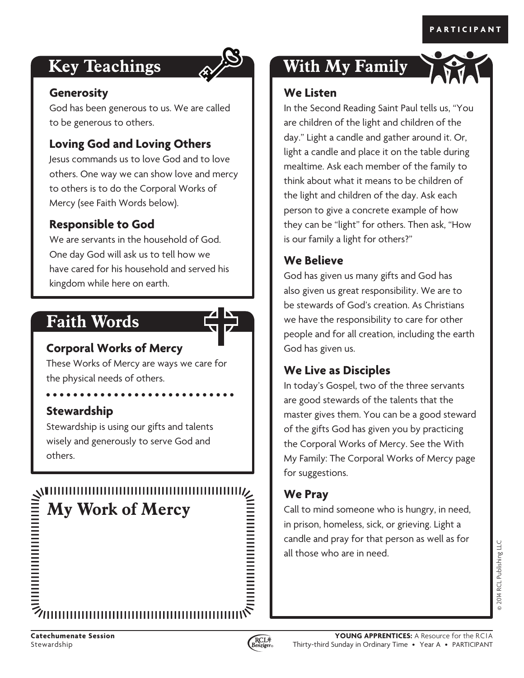# **Key Teachings**



#### **Generosity**

God has been generous to us. We are called to be generous to others.

### **Loving God and Loving Others**

Jesus commands us to love God and to love others. One way we can show love and mercy to others is to do the Corporal Works of Mercy (see Faith Words below).

#### **Responsible to God**

We are servants in the household of God. One day God will ask us to tell how we have cared for his household and served his kingdom while here on earth.

# **Faith Words**



These Works of Mercy are ways we care for the physical needs of others.

#### **Stewardship**

Stewardship is using our gifts and talents wisely and generously to serve God and others.



# **With My Family**

#### **We Listen**

In the Second Reading Saint Paul tells us, "You are children of the light and children of the day." Light a candle and gather around it. Or, light a candle and place it on the table during mealtime. Ask each member of the family to think about what it means to be children of the light and children of the day. Ask each person to give a concrete example of how they can be "light" for others. Then ask, "How is our family a light for others?"

### **We Believe**

God has given us many gifts and God has also given us great responsibility. We are to be stewards of God's creation. As Christians we have the responsibility to care for other people and for all creation, including the earth God has given us.

#### **We Live as Disciples**

In today's Gospel, two of the three servants are good stewards of the talents that the master gives them. You can be a good steward of the gifts God has given you by practicing the Corporal Works of Mercy. See the With My Family: The Corporal Works of Mercy page for suggestions.

#### **We Pray**

Call to mind someone who is hungry, in need, in prison, homeless, sick, or grieving. Light a candle and pray for that person as well as for all those who are in need.

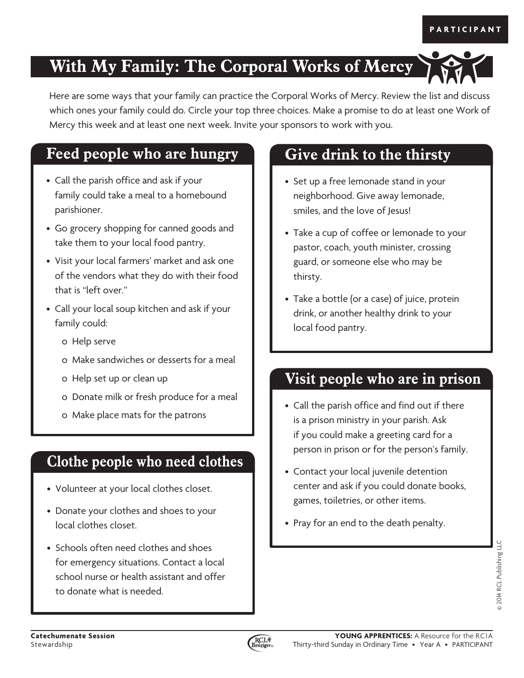# **With My Family: The Corporal Works of Mercy**

Here are some ways that your family can practice the Corporal Works of Mercy. Review the list and discuss which ones your family could do. Circle your top three choices. Make a promise to do at least one Work of Mercy this week and at least one next week. Invite your sponsors to work with you.

# **Feed people who are hungry Give drink to the thirsty**

- Call the parish office and ask if your family could take a meal to a homebound parishioner.
- Go grocery shopping for canned goods and take them to your local food pantry.
- Visit your local farmers' market and ask one of the vendors what they do with their food that is "left over."
- Call your local soup kitchen and ask if your family could:
	- o Help serve
	- o Make sandwiches or desserts for a meal
	- o Help set up or clean up
	- o Donate milk or fresh produce for a meal
	- o Make place mats for the patrons

# **Clothe people who need clothes**

- Volunteer at your local clothes closet.
- Donate your clothes and shoes to your local clothes closet.
- Schools often need clothes and shoes for emergency situations. Contact a local school nurse or health assistant and offer to donate what is needed.

- Set up a free lemonade stand in your neighborhood. Give away lemonade, smiles, and the love of Jesus!
- Take a cup of coffee or lemonade to your pastor, coach, youth minister, crossing guard, or someone else who may be thirsty.
- Take a bottle (or a case) of juice, protein drink, or another healthy drink to your local food pantry.

# **Visit people who are in prison**

- Call the parish office and find out if there is a prison ministry in your parish. Ask if you could make a greeting card for a person in prison or for the person's family.
- Contact your local juvenile detention center and ask if you could donate books, games, toiletries, or other items.
- Pray for an end to the death penalty.